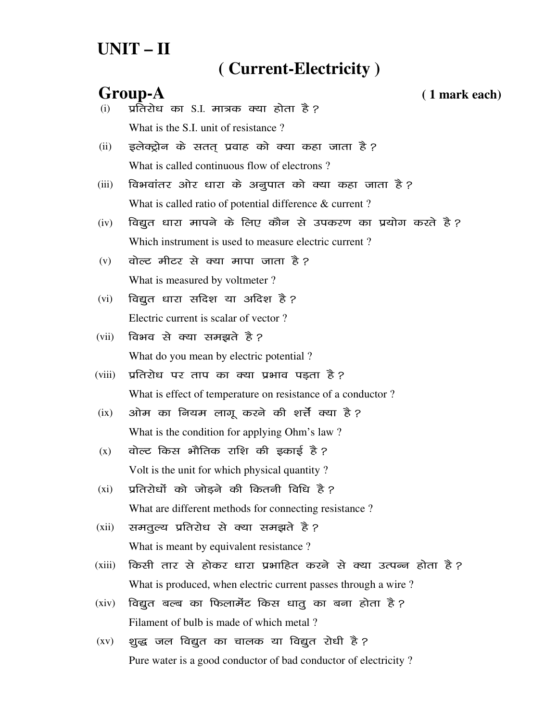# **UNIT – II**

### **( Current-Electricity )**

## **Group-A ( 1 mark each)**  $(i)$  प्रतिरोध का S.I. मात्रक क्या होता है ? What is the S.I. unit of resistance?  $(ii)$  इलेक्ट्रोन के सतत् प्रवाह को क्या कहा जाता है? What is called continuous flow of electrons ? (iii) विभवांतर ओर धारा के अनूपात को क्या कहा जाता है? What is called ratio of potential difference & current? (iv) विद्युत धारा मापने के लिए कौन से उपकरण का प्रयोग करते है*?* Which instrument is used to measure electric current ?  $(v)$  alget after at a divident and  $\hat{g}$  ? What is measured by voltmeter ? (vi) विद्युत धारा सदिश या अदिश है ? Electric current is scalar of vector ? (vii) विभव से क्या समझते है*?* What do you mean by electric potential ? (viii) प्रतिरोध पर ताप का क्या प्रभाव पड़ता है? What is effect of temperature on resistance of a conductor ?  $(ix)$  31ोम का नियम लागू करने की शर्त्ते क्या है? What is the condition for applying Ohm's law ?  $(x)$  वोल्ट किस भौतिक राशि की इकाई है? Volt is the unit for which physical quantity ?  $(xi)$  प्रतिरोधों को जोड़ने की कितनी विधि है ? What are different methods for connecting resistance ? (xii) समतूल्य प्रतिरोध से क्या समझते है*?* What is meant by equivalent resistance? (xiii) किसी तार से होकर धारा प्रभाहित करने से क्या उत्पन्न होता है? What is produced, when electric current passes through a wire ?  $(xiv)$  विद्युत बल्ब का फिलामेंट किस धातू का बना होता है ? Filament of bulb is made of which metal ?  $(xv)$  शुद्ध जल विद्युत का चालक या विद्युत रोधी है ? Pure water is a good conductor of bad conductor of electricity ?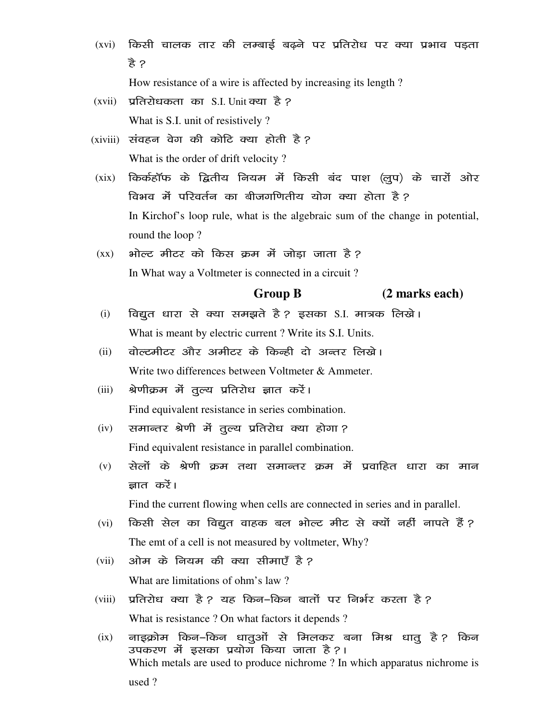(xvi) किसी चालक तार की लम्बाई बढ़ने पर प्रतिरोध पर क्या प्रभाव पड़ता हे ?

How resistance of a wire is affected by increasing its length?

- $(xvii)$  प्रतिरोधकता का S.I. Unit क्या है ? What is S.I. unit of resistively?
- (xiviii) संवहन वेग की कोटि क्या होती है? What is the order of drift velocity?
- (xix) किर्कहॉफ के द्वितीय नियम में किसी बंद पाश (लूप) के चारों ओर विभव में परिवर्तन का बीजगणितीय योग क्या होता है ? In Kirchof's loop rule, what is the algebraic sum of the change in potential, round the loop?
- भोल्ट मीटर को किस क्रम में जोड़ा जाता है?  $(\mathbf{X}\mathbf{X})$ In What way a Voltmeter is connected in a circuit?

#### **Group B** (2 marks each)

- विद्युत धारा से क्या समझते है ? इसका S.I. मात्रक लिखे।  $(i)$ What is meant by electric current? Write its S.I. Units.
- वोल्टमीटर और अमीटर के किन्ही दो अन्तर लिखे।  $(ii)$ Write two differences between Voltmeter & Ammeter.
- $(iii)$ श्रेणीक्रम में तुल्य प्रतिरोध ज्ञात करें। Find equivalent resistance in series combination.
- समान्तर श्रेणी में तुल्य प्रतिरोध क्या होगा?  $(iv)$ Find equivalent resistance in parallel combination.
- सेलों के श्रेणी क्रम तथा समान्तर क्रम में प्रवाहित धारा का मान  $(v)$ ज्ञात करें।

Find the current flowing when cells are connected in series and in parallel.

- किसी सेल का विद्युत वाहक बल भोल्ट मीट से क्यों नहीं नापते हैं ?  $(vi)$ The emt of a cell is not measured by voltmeter, Why?
- ओम के नियम की क्या सीमाएँ है ?  $(vii)$ What are limitations of ohm's law?
- प्रतिरोध क्या है ? यह किन-किन बातों पर निर्भर करता है ?  $(viii)$ What is resistance ? On what factors it depends ?
- नाइक्रोम किन–किन धातुओं से मिलकर बना मिश्र धातु है? किन  $(ix)$ उपकरण में इसका प्रयोग किया जाता है ?। Which metals are used to produce nichrome? In which apparatus nichrome is used?